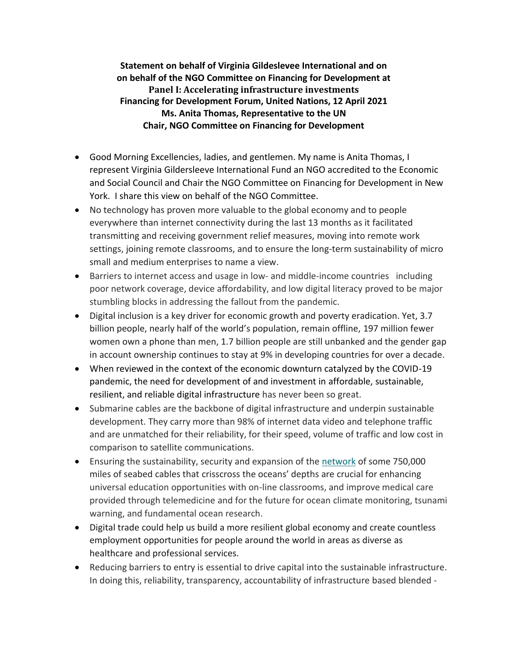**Statement on behalf of Virginia Gildeslevee International and on on behalf of the NGO Committee on Financing for Development at Panel I: Accelerating infrastructure investments Financing for Development Forum, United Nations, 12 April 2021 Ms. Anita Thomas, Representative to the UN Chair, NGO Committee on Financing for Development**

- Good Morning Excellencies, ladies, and gentlemen. My name is Anita Thomas, I represent Virginia Gildersleeve International Fund an NGO accredited to the Economic and Social Council and Chair the NGO Committee on Financing for Development in New York. I share this view on behalf of the NGO Committee.
- No technology has proven more valuable to the global economy and to people everywhere than internet connectivity during the last 13 months as it facilitated transmitting and receiving government relief measures, moving into remote work settings, joining remote classrooms, and to ensure the long-term sustainability of micro small and medium enterprises to name a view.
- Barriers to internet access and usage in low- and middle-income countries including poor network coverage, device affordability, and low digital literacy proved to be major stumbling blocks in addressing the fallout from the pandemic.
- Digital inclusion is a key driver for economic growth and poverty eradication. Yet, 3.7 billion people, nearly half of the world's population, remain offline, 197 million fewer women own a phone than men, 1.7 billion people are still unbanked and the gender gap in account ownership continues to stay at 9% in developing countries for over a decade.
- When reviewed in the context of the economic downturn catalyzed by the COVID-19 pandemic, the need for development of and investment in affordable, sustainable, resilient, and reliable digital infrastructure has never been so great.
- Submarine cables are the backbone of digital infrastructure and underpin sustainable development. They carry more than 98% of internet data video and telephone traffic and are unmatched for their reliability, for their speed, volume of traffic and low cost in comparison to satellite communications.
- Ensuring the sustainability, security and expansion of the [network](https://www.submarinecablemap.com/) of some 750,000 miles of seabed cables that crisscross the oceans' depths are crucial for enhancing universal education opportunities with on-line classrooms, and improve medical care provided through telemedicine and for the future for ocean climate monitoring, tsunami warning, and fundamental ocean research.
- Digital trade could help us build a more resilient global economy and create countless employment opportunities for people around the world in areas as diverse as healthcare and professional services.
- Reducing barriers to entry is essential to drive capital into the sustainable infrastructure. In doing this, reliability, transparency, accountability of infrastructure based blended -